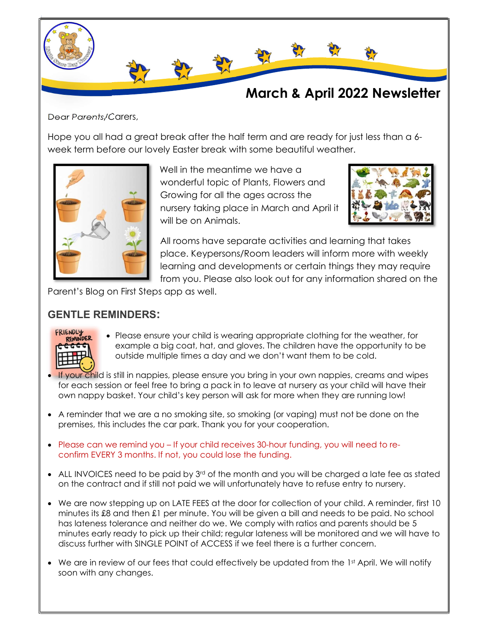

Dear Parents/Carers,

Hope you all had a great break after the half term and are ready for just less than a 6 week term before our lovely Easter break with some beautiful weather.



Well in the meantime we have a wonderful topic of Plants, Flowers and Growing for all the ages across the nursery taking place in March and April it will be on Animals.



All rooms have separate activities and learning that takes place. Keypersons/Room leaders will inform more with weekly learning and developments or certain things they may require from you. Please also look out for any information shared on the

Parent's Blog on First Steps app as well.

## GENTLE REMINDERS:



- Please ensure your child is wearing appropriate clothing for the weather, for example a big coat, hat, and gloves. The children have the opportunity to be outside multiple times a day and we don't want them to be cold.
- **If your child is still in nappies, please ensure you bring in your own nappies, creams and wipes** for each session or feel free to bring a pack in to leave at nursery as your child will have their own nappy basket. Your child's key person will ask for more when they are running low!
- A reminder that we are a no smoking site, so smoking (or vaping) must not be done on the premises, this includes the car park. Thank you for your cooperation.
- Please can we remind you If your child receives 30-hour funding, you will need to reconfirm EVERY 3 months. If not, you could lose the funding.
- ALL INVOICES need to be paid by 3rd of the month and you will be charged a late fee as stated on the contract and if still not paid we will unfortunately have to refuse entry to nursery.
- We are now stepping up on LATE FEES at the door for collection of your child. A reminder, first 10 minutes its £8 and then £1 per minute. You will be given a bill and needs to be paid. No school has lateness tolerance and neither do we. We comply with ratios and parents should be 5 minutes early ready to pick up their child; regular lateness will be monitored and we will have to discuss further with SINGLE POINT of ACCESS if we feel there is a further concern.
- $\bullet$  We are in review of our fees that could effectively be updated from the 1st April. We will notify soon with any changes.